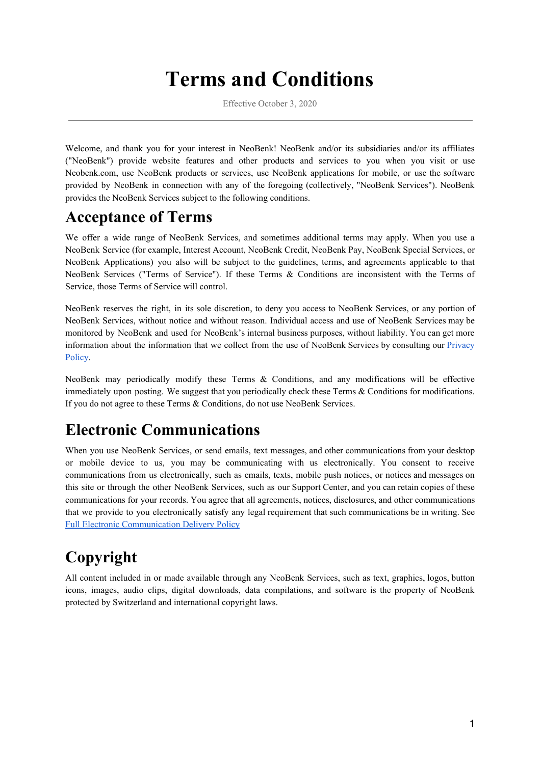# **Terms and Conditions**

Effective October 3, 2020

Welcome, and thank you for your interest in NeoBenk! NeoBenk and/or its subsidiaries and/or its affiliates ("NeoBenk") provide website features and other products and services to you when you visit or use Neobenk.com, use NeoBenk products or services, use NeoBenk applications for mobile, or use the software provided by NeoBenk in connection with any of the foregoing (collectively, "NeoBenk Services"). NeoBenk provides the NeoBenk Services subject to the following conditions.

### **Acceptance of Terms**

We offer a wide range of NeoBenk Services, and sometimes additional terms may apply. When you use a NeoBenk Service (for example, Interest Account, NeoBenk Credit, NeoBenk Pay, NeoBenk Special Services, or NeoBenk Applications) you also will be subject to the guidelines, terms, and agreements applicable to that NeoBenk Services ("Terms of Service"). If these Terms & Conditions are inconsistent with the Terms of Service, those Terms of Service will control.

NeoBenk reserves the right, in its sole discretion, to deny you access to NeoBenk Services, or any portion of NeoBenk Services, without notice and without reason. Individual access and use of NeoBenk Services may be monitored by NeoBenk and used for NeoBenk's internal business purposes, without liability. You can get more information about the information that we collect from the use of NeoBenk Services by consulting our Privacy Policy.

NeoBenk may periodically modify these Terms & Conditions, and any modifications will be effective immediately upon posting. We suggest that you periodically check these Terms & Conditions for modifications. If you do not agree to these Terms & Conditions, do not use NeoBenk Services.

### **Electronic Communications**

When you use NeoBenk Services, or send emails, text messages, and other communications from your desktop or mobile device to us, you may be communicating with us electronically. You consent to receive communications from us electronically, such as emails, texts, mobile push notices, or notices and messages on this site or through the other NeoBenk Services, such as our Support Center, and you can retain copies of these communications for your records. You agree that all agreements, notices, disclosures, and other communications that we provide to you electronically satisfy any legal requirement that such communications be in writing. See Full Electronic [Communication](https://neobenk.com/legal/E-Sign.pdf) Delivery Policy

# **Copyright**

All content included in or made available through any NeoBenk Services, such as text, graphics, logos, button icons, images, audio clips, digital downloads, data compilations, and software is the property of NeoBenk protected by Switzerland and international copyright laws.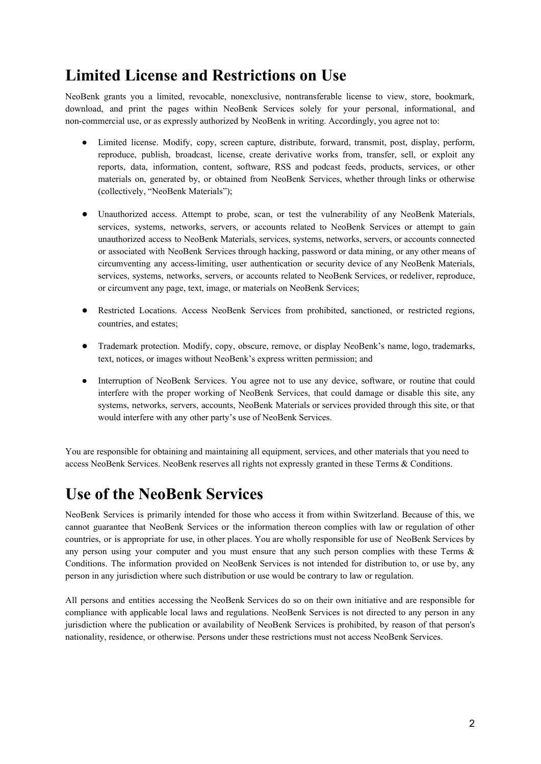### **Limited License and Restrictions on Use**

NeoBenk grants you a limited, revocable, nonexclusive, nontransferable license to view, store, bookmark, download, and print the pages within NeoBenk Services solely for your personal, informational, and non-commercial use, or as expressly authorized by NeoBenk in writing. Accordingly, you agree not to:

- Limited license. Modify, copy, screen capture, distribute, forward, transmit, post, display, perform, reproduce, publish, broadcast, license, create derivative works from, transfer, sell, or exploit any reports, data, information, content, software, RSS and podcast feeds, products, services, or other materials on, generated by, or obtained from NeoBenk Services, whether through links or otherwise (collectively, "NeoBenk Materials");
- Unauthorized access. Attempt to probe, scan, or test the vulnerability of any NeoBenk Materials, services, systems, networks, servers, or accounts related to NeoBenk Services or attempt to gain unauthorized access to NeoBenk Materials, services, systems, networks, servers, or accounts connected or associated with NeoBenk Services through hacking, password or data mining, or any other means of circumventing any access-limiting, user authentication or security device of any NeoBenk Materials, services, systems, networks, servers, or accounts related to NeoBenk Services, or redeliver, reproduce, or circumvent any page, text, image, or materials on NeoBenk Services;
- Restricted Locations. Access NeoBenk Services from prohibited, sanctioned, or restricted regions, countries, and estates;
- Trademark protection. Modify, copy, obscure, remove, or display NeoBenk's name, logo, trademarks, text, notices, or images without NeoBenk's express written permission; and
- Interruption of NeoBenk Services. You agree not to use any device, software, or routine that could interfere with the proper working of NeoBenk Services, that could damage or disable this site, any systems, networks, servers, accounts, NeoBenk Materials or services provided through this site, or that would interfere with any other party's use of NeoBenk Services.

You are responsible for obtaining and maintaining all equipment, services, and other materials that you need to access NeoBenk Services. NeoBenk reserves all rights not expressly granted in these Terms & Conditions.

### **Use of the NeoBenk Services**

NeoBenk Services is primarily intended for those who access it from within Switzerland. Because of this, we cannot guarantee that NeoBenk Services or the information thereon complies with law or regulation of other countries, or is appropriate for use, in other places. You are wholly responsible for use of NeoBenk Services by any person using your computer and you must ensure that any such person complies with these Terms & Conditions. The information provided on NeoBenk Services is not intended for distribution to, or use by, any person in any jurisdiction where such distribution or use would be contrary to law or regulation.

All persons and entities accessing the NeoBenk Services do so on their own initiative and are responsible for compliance with applicable local laws and regulations. NeoBenk Services is not directed to any person in any jurisdiction where the publication or availability of NeoBenk Services is prohibited, by reason of that person's nationality, residence, or otherwise. Persons under these restrictions must not access NeoBenk Services.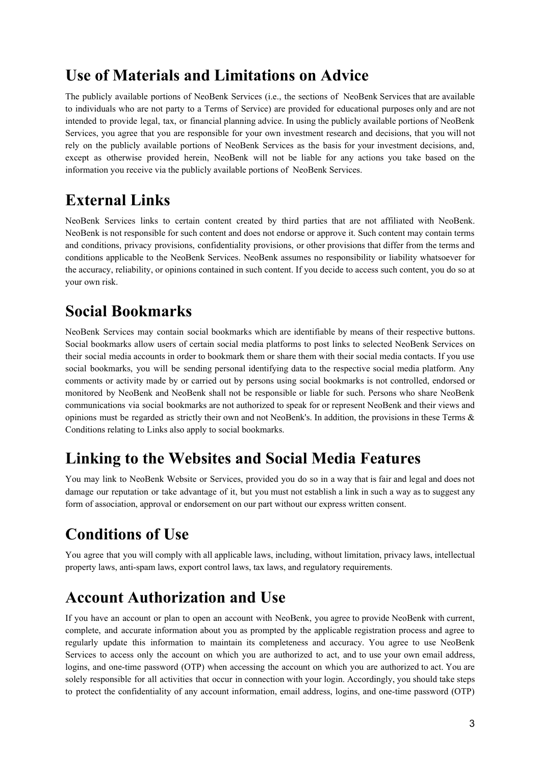### **Use of Materials and Limitations on Advice**

The publicly available portions of NeoBenk Services (i.e., the sections of NeoBenk Services that are available to individuals who are not party to a Terms of Service) are provided for educational purposes only and are not intended to provide legal, tax, or financial planning advice. In using the publicly available portions of NeoBenk Services, you agree that you are responsible for your own investment research and decisions, that you will not rely on the publicly available portions of NeoBenk Services as the basis for your investment decisions, and, except as otherwise provided herein, NeoBenk will not be liable for any actions you take based on the information you receive via the publicly available portions of NeoBenk Services.

### **External Links**

NeoBenk Services links to certain content created by third parties that are not affiliated with NeoBenk. NeoBenk is not responsible for such content and does not endorse or approve it. Such content may contain terms and conditions, privacy provisions, confidentiality provisions, or other provisions that differ from the terms and conditions applicable to the NeoBenk Services. NeoBenk assumes no responsibility or liability whatsoever for the accuracy, reliability, or opinions contained in such content. If you decide to access such content, you do so at your own risk.

### **Social Bookmarks**

NeoBenk Services may contain social bookmarks which are identifiable by means of their respective buttons. Social bookmarks allow users of certain social media platforms to post links to selected NeoBenk Services on their social media accounts in order to bookmark them or share them with their social media contacts. If you use social bookmarks, you will be sending personal identifying data to the respective social media platform. Any comments or activity made by or carried out by persons using social bookmarks is not controlled, endorsed or monitored by NeoBenk and NeoBenk shall not be responsible or liable for such. Persons who share NeoBenk communications via social bookmarks are not authorized to speak for or represent NeoBenk and their views and opinions must be regarded as strictly their own and not NeoBenk's. In addition, the provisions in these Terms  $\&$ Conditions relating to Links also apply to social bookmarks.

### **Linking to the Websites and Social Media Features**

You may link to NeoBenk Website or Services, provided you do so in a way that is fair and legal and does not damage our reputation or take advantage of it, but you must not establish a link in such a way as to suggest any form of association, approval or endorsement on our part without our express written consent.

# **Conditions of Use**

You agree that you will comply with all applicable laws, including, without limitation, privacy laws, intellectual property laws, anti-spam laws, export control laws, tax laws, and regulatory requirements.

### **Account Authorization and Use**

If you have an account or plan to open an account with NeoBenk, you agree to provide NeoBenk with current, complete, and accurate information about you as prompted by the applicable registration process and agree to regularly update this information to maintain its completeness and accuracy. You agree to use NeoBenk Services to access only the account on which you are authorized to act, and to use your own email address, logins, and one-time password (OTP) when accessing the account on which you are authorized to act. You are solely responsible for all activities that occur in connection with your login. Accordingly, you should take steps to protect the confidentiality of any account information, email address, logins, and one-time password (OTP)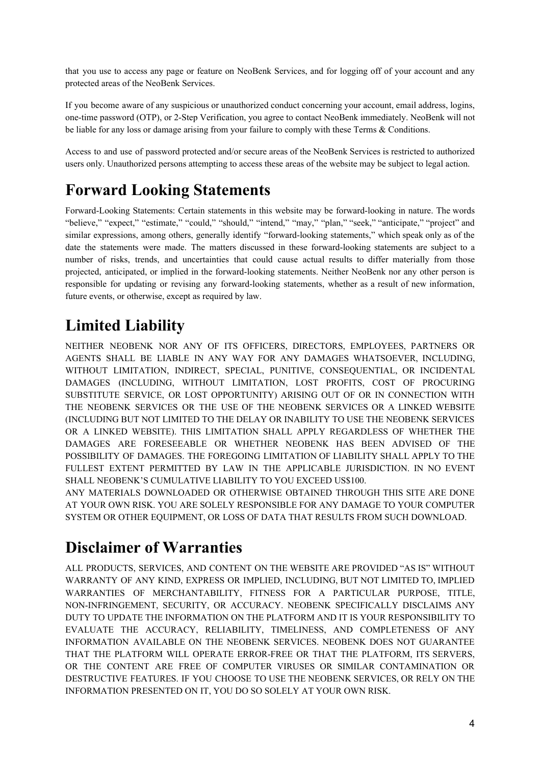that you use to access any page or feature on NeoBenk Services, and for logging off of your account and any protected areas of the NeoBenk Services.

If you become aware of any suspicious or unauthorized conduct concerning your account, email address, logins, one-time password (OTP), or 2-Step Verification, you agree to contact NeoBenk immediately. NeoBenk will not be liable for any loss or damage arising from your failure to comply with these Terms & Conditions.

Access to and use of password protected and/or secure areas of the NeoBenk Services is restricted to authorized users only. Unauthorized persons attempting to access these areas of the website may be subject to legal action.

# **Forward Looking Statements**

Forward-Looking Statements: Certain statements in this website may be forward-looking in nature. The words "believe," "expect," "estimate," "could," "should," "intend," "may," "plan," "seek," "anticipate," "project" and similar expressions, among others, generally identify "forward-looking statements," which speak only as of the date the statements were made. The matters discussed in these forward-looking statements are subject to a number of risks, trends, and uncertainties that could cause actual results to differ materially from those projected, anticipated, or implied in the forward-looking statements. Neither NeoBenk nor any other person is responsible for updating or revising any forward-looking statements, whether as a result of new information, future events, or otherwise, except as required by law.

# **Limited Liability**

NEITHER NEOBENK NOR ANY OF ITS OFFICERS, DIRECTORS, EMPLOYEES, PARTNERS OR AGENTS SHALL BE LIABLE IN ANY WAY FOR ANY DAMAGES WHATSOEVER, INCLUDING, WITHOUT LIMITATION, INDIRECT, SPECIAL, PUNITIVE, CONSEQUENTIAL, OR INCIDENTAL DAMAGES (INCLUDING, WITHOUT LIMITATION, LOST PROFITS, COST OF PROCURING SUBSTITUTE SERVICE, OR LOST OPPORTUNITY) ARISING OUT OF OR IN CONNECTION WITH THE NEOBENK SERVICES OR THE USE OF THE NEOBENK SERVICES OR A LINKED WEBSITE (INCLUDING BUT NOT LIMITED TO THE DELAY OR INABILITY TO USE THE NEOBENK SERVICES OR A LINKED WEBSITE). THIS LIMITATION SHALL APPLY REGARDLESS OF WHETHER THE DAMAGES ARE FORESEEABLE OR WHETHER NEOBENK HAS BEEN ADVISED OF THE POSSIBILITY OF DAMAGES. THE FOREGOING LIMITATION OF LIABILITY SHALL APPLY TO THE FULLEST EXTENT PERMITTED BY LAW IN THE APPLICABLE JURISDICTION. IN NO EVENT SHALL NEOBENK'S CUMULATIVE LIABILITY TO YOU EXCEED US\$100.

ANY MATERIALS DOWNLOADED OR OTHERWISE OBTAINED THROUGH THIS SITE ARE DONE AT YOUR OWN RISK. YOU ARE SOLELY RESPONSIBLE FOR ANY DAMAGE TO YOUR COMPUTER SYSTEM OR OTHER EQUIPMENT, OR LOSS OF DATA THAT RESULTS FROM SUCH DOWNLOAD.

### **Disclaimer of Warranties**

ALL PRODUCTS, SERVICES, AND CONTENT ON THE WEBSITE ARE PROVIDED "AS IS" WITHOUT WARRANTY OF ANY KIND, EXPRESS OR IMPLIED, INCLUDING, BUT NOT LIMITED TO, IMPLIED WARRANTIES OF MERCHANTABILITY, FITNESS FOR A PARTICULAR PURPOSE, TITLE, NON-INFRINGEMENT, SECURITY, OR ACCURACY. NEOBENK SPECIFICALLY DISCLAIMS ANY DUTY TO UPDATE THE INFORMATION ON THE PLATFORM AND IT IS YOUR RESPONSIBILITY TO EVALUATE THE ACCURACY, RELIABILITY, TIMELINESS, AND COMPLETENESS OF ANY INFORMATION AVAILABLE ON THE NEOBENK SERVICES. NEOBENK DOES NOT GUARANTEE THAT THE PLATFORM WILL OPERATE ERROR-FREE OR THAT THE PLATFORM, ITS SERVERS, OR THE CONTENT ARE FREE OF COMPUTER VIRUSES OR SIMILAR CONTAMINATION OR DESTRUCTIVE FEATURES. IF YOU CHOOSE TO USE THE NEOBENK SERVICES, OR RELY ON THE INFORMATION PRESENTED ON IT, YOU DO SO SOLELY AT YOUR OWN RISK.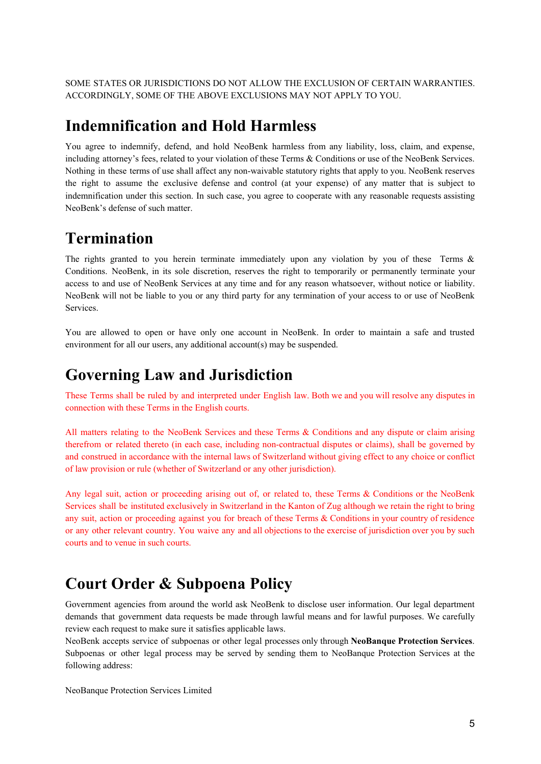SOME STATES OR JURISDICTIONS DO NOT ALLOW THE EXCLUSION OF CERTAIN WARRANTIES. ACCORDINGLY, SOME OF THE ABOVE EXCLUSIONS MAY NOT APPLY TO YOU.

#### **Indemnification and Hold Harmless**

You agree to indemnify, defend, and hold NeoBenk harmless from any liability, loss, claim, and expense, including attorney's fees, related to your violation of these Terms & Conditions or use of the NeoBenk Services. Nothing in these terms of use shall affect any non-waivable statutory rights that apply to you. NeoBenk reserves the right to assume the exclusive defense and control (at your expense) of any matter that is subject to indemnification under this section. In such case, you agree to cooperate with any reasonable requests assisting NeoBenk's defense of such matter.

### **Termination**

The rights granted to you herein terminate immediately upon any violation by you of these Terms  $\&$ Conditions. NeoBenk, in its sole discretion, reserves the right to temporarily or permanently terminate your access to and use of NeoBenk Services at any time and for any reason whatsoever, without notice or liability. NeoBenk will not be liable to you or any third party for any termination of your access to or use of NeoBenk Services.

You are allowed to open or have only one account in NeoBenk. In order to maintain a safe and trusted environment for all our users, any additional account(s) may be suspended.

#### **Governing Law and Jurisdiction**

These Terms shall be ruled by and interpreted under English law. Both we and you will resolve any disputes in connection with these Terms in the English courts.

All matters relating to the NeoBenk Services and these Terms & Conditions and any dispute or claim arising therefrom or related thereto (in each case, including non-contractual disputes or claims), shall be governed by and construed in accordance with the internal laws of Switzerland without giving effect to any choice or conflict of law provision or rule (whether of Switzerland or any other jurisdiction).

Any legal suit, action or proceeding arising out of, or related to, these Terms & Conditions or the NeoBenk Services shall be instituted exclusively in Switzerland in the Kanton of Zug although we retain the right to bring any suit, action or proceeding against you for breach of these Terms & Conditions in your country of residence or any other relevant country. You waive any and all objections to the exercise of jurisdiction over you by such courts and to venue in such courts.

### **Court Order & Subpoena Policy**

Government agencies from around the world ask NeoBenk to disclose user information. Our legal department demands that government data requests be made through lawful means and for lawful purposes. We carefully review each request to make sure it satisfies applicable laws.

NeoBenk accepts service of subpoenas or other legal processes only through **NeoBanque Protection Services**. Subpoenas or other legal process may be served by sending them to NeoBanque Protection Services at the following address:

NeoBanque Protection Services Limited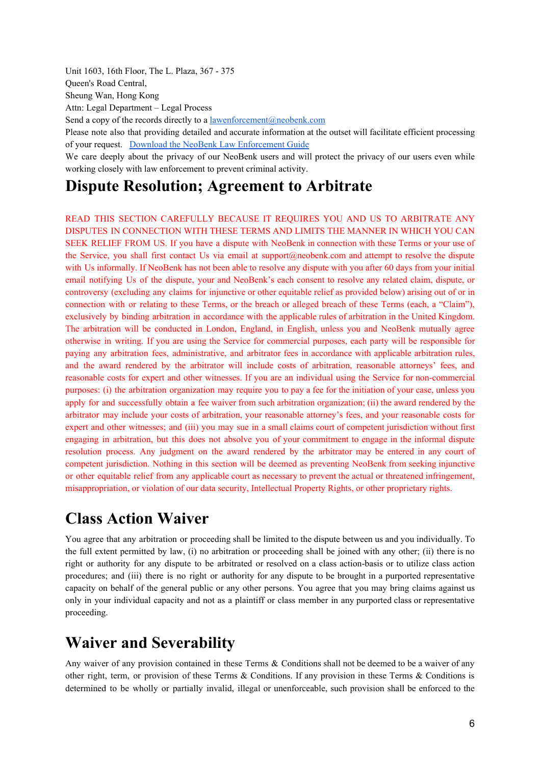Unit 1603, 16th Floor, The L. Plaza, 367 - 375

Queen's Road Central,

Sheung Wan, Hong Kong

Attn: Legal Department – Legal Process

Send a copy of the records directly to a [lawenforcement@neobenk.com](mailto:lawenforcement@neobenk.com)

Please note also that providing detailed and accurate information at the outset will facilitate efficient processing of your request. Download the NeoBenk Law [Enforcement](https://neobenk.com/legal/NeoBenk-Subpoena-Policy.pdf) Guide

We care deeply about the privacy of our NeoBenk users and will protect the privacy of our users even while working closely with law enforcement to prevent criminal activity.

#### **Dispute Resolution; Agreement to Arbitrate**

READ THIS SECTION CAREFULLY BECAUSE IT REQUIRES YOU AND US TO ARBITRATE ANY DISPUTES IN CONNECTION WITH THESE TERMS AND LIMITS THE MANNER IN WHICH YOU CAN SEEK RELIEF FROM US. If you have a dispute with NeoBenk in connection with these Terms or your use of the Service, you shall first contact Us via email at support@neobenk.com and attempt to resolve the dispute with Us informally. If NeoBenk has not been able to resolve any dispute with you after 60 days from your initial email notifying Us of the dispute, your and NeoBenk's each consent to resolve any related claim, dispute, or controversy (excluding any claims for injunctive or other equitable relief as provided below) arising out of or in connection with or relating to these Terms, or the breach or alleged breach of these Terms (each, a "Claim"), exclusively by binding arbitration in accordance with the applicable rules of arbitration in the United Kingdom. The arbitration will be conducted in London, England, in English, unless you and NeoBenk mutually agree otherwise in writing. If you are using the Service for commercial purposes, each party will be responsible for paying any arbitration fees, administrative, and arbitrator fees in accordance with applicable arbitration rules, and the award rendered by the arbitrator will include costs of arbitration, reasonable attorneys' fees, and reasonable costs for expert and other witnesses. If you are an individual using the Service for non-commercial purposes: (i) the arbitration organization may require you to pay a fee for the initiation of your case, unless you apply for and successfully obtain a fee waiver from such arbitration organization; (ii) the award rendered by the arbitrator may include your costs of arbitration, your reasonable attorney's fees, and your reasonable costs for expert and other witnesses; and (iii) you may sue in a small claims court of competent jurisdiction without first engaging in arbitration, but this does not absolve you of your commitment to engage in the informal dispute resolution process. Any judgment on the award rendered by the arbitrator may be entered in any court of competent jurisdiction. Nothing in this section will be deemed as preventing NeoBenk from seeking injunctive or other equitable relief from any applicable court as necessary to prevent the actual or threatened infringement, misappropriation, or violation of our data security, Intellectual Property Rights, or other proprietary rights.

#### **Class Action Waiver**

You agree that any arbitration or proceeding shall be limited to the dispute between us and you individually. To the full extent permitted by law, (i) no arbitration or proceeding shall be joined with any other; (ii) there is no right or authority for any dispute to be arbitrated or resolved on a class action-basis or to utilize class action procedures; and (iii) there is no right or authority for any dispute to be brought in a purported representative capacity on behalf of the general public or any other persons. You agree that you may bring claims against us only in your individual capacity and not as a plaintiff or class member in any purported class or representative proceeding.

#### **Waiver and Severability**

Any waiver of any provision contained in these Terms & Conditions shall not be deemed to be a waiver of any other right, term, or provision of these Terms & Conditions. If any provision in these Terms & Conditions is determined to be wholly or partially invalid, illegal or unenforceable, such provision shall be enforced to the